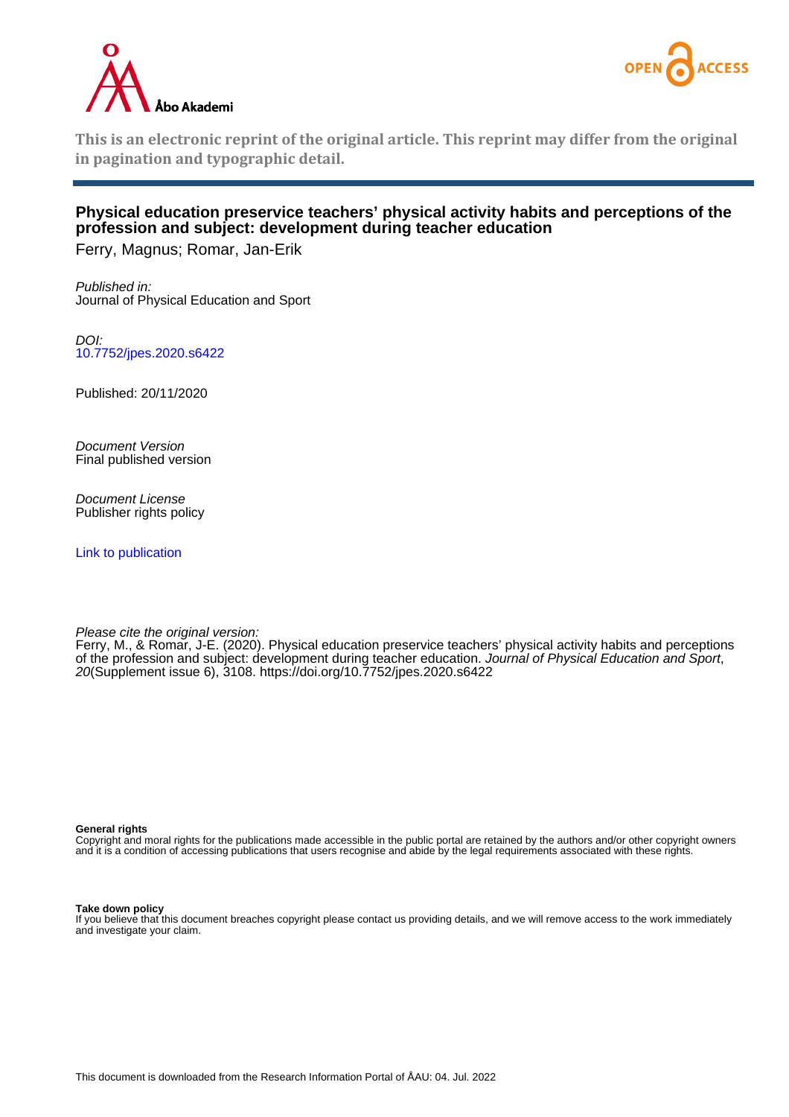



**This is an electronic reprint of the original article. This reprint may differ from the original in pagination and typographic detail.**

# **Physical education preservice teachers' physical activity habits and perceptions of the profession and subject: development during teacher education**

Ferry, Magnus; Romar, Jan-Erik

Published in: Journal of Physical Education and Sport

DOI: [10.7752/jpes.2020.s6422](https://doi.org/10.7752/jpes.2020.s6422)

Published: 20/11/2020

Document Version Final published version

Document License Publisher rights policy

[Link to publication](https://research.abo.fi/en/publications/c6cdee26-ed02-496a-8561-6bccbb3747c5)

Please cite the original version:

Ferry, M., & Romar, J-E. (2020). Physical education preservice teachers' physical activity habits and perceptions of the profession and subject: development during teacher education. Journal of Physical Education and Sport, 20(Supplement issue 6), 3108. <https://doi.org/10.7752/jpes.2020.s6422>

#### **General rights**

Copyright and moral rights for the publications made accessible in the public portal are retained by the authors and/or other copyright owners and it is a condition of accessing publications that users recognise and abide by the legal requirements associated with these rights.

#### **Take down policy**

If you believe that this document breaches copyright please contact us providing details, and we will remove access to the work immediately and investigate your claim.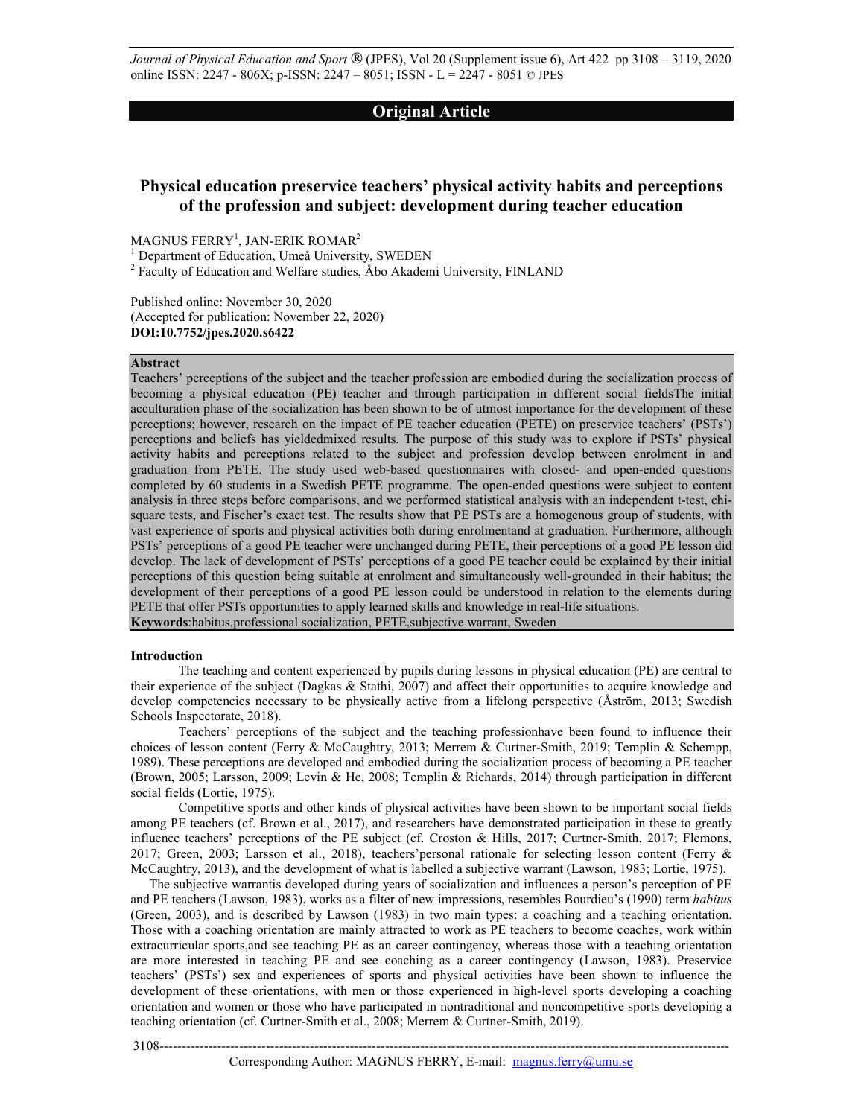*Journal of Physical Education and Sport* **®** (JPES), Vol 20 (Supplement issue 6), Art 422 pp 3108 – 3119, 2020 online ISSN: 2247 - 806X; p-ISSN: 2247 – 8051; ISSN - L = 2247 - 8051 © JPES

# **Original Article**

# **Physical education preservice teachers' physical activity habits and perceptions of the profession and subject: development during teacher education**

MAGNUS FERRY $^{\rm l}$ , JAN-ERIK ROMAR $^{\rm 2}$ 

<sup>1</sup> Department of Education, Umeå University, SWEDEN

<sup>2</sup> Faculty of Education and Welfare studies, Åbo Akademi University, FINLAND

Published online: November 30, 2020 (Accepted for publication: November 22, 2020) **DOI:10.7752/jpes.2020.s6422** 

# **Abstract**

Teachers' perceptions of the subject and the teacher profession are embodied during the socialization process of becoming a physical education (PE) teacher and through participation in different social fieldsThe initial acculturation phase of the socialization has been shown to be of utmost importance for the development of these perceptions; however, research on the impact of PE teacher education (PETE) on preservice teachers' (PSTs') perceptions and beliefs has yieldedmixed results. The purpose of this study was to explore if PSTs' physical activity habits and perceptions related to the subject and profession develop between enrolment in and graduation from PETE. The study used web-based questionnaires with closed- and open-ended questions completed by 60 students in a Swedish PETE programme. The open-ended questions were subject to content analysis in three steps before comparisons, and we performed statistical analysis with an independent t-test, chisquare tests, and Fischer's exact test. The results show that PE PSTs are a homogenous group of students, with vast experience of sports and physical activities both during enrolmentand at graduation. Furthermore, although PSTs' perceptions of a good PE teacher were unchanged during PETE, their perceptions of a good PE lesson did develop. The lack of development of PSTs' perceptions of a good PE teacher could be explained by their initial perceptions of this question being suitable at enrolment and simultaneously well-grounded in their habitus; the development of their perceptions of a good PE lesson could be understood in relation to the elements during PETE that offer PSTs opportunities to apply learned skills and knowledge in real-life situations. **Keywords**:habitus,professional socialization, PETE,subjective warrant, Sweden

#### **Introduction**

The teaching and content experienced by pupils during lessons in physical education (PE) are central to their experience of the subject (Dagkas & Stathi, 2007) and affect their opportunities to acquire knowledge and develop competencies necessary to be physically active from a lifelong perspective (Åström, 2013; Swedish Schools Inspectorate, 2018).

Teachers' perceptions of the subject and the teaching professionhave been found to influence their choices of lesson content (Ferry & McCaughtry, 2013; Merrem & Curtner-Smith, 2019; Templin & Schempp, 1989). These perceptions are developed and embodied during the socialization process of becoming a PE teacher (Brown, 2005; Larsson, 2009; Levin & He, 2008; Templin & Richards, 2014) through participation in different social fields (Lortie, 1975).

Competitive sports and other kinds of physical activities have been shown to be important social fields among PE teachers (cf. Brown et al., 2017), and researchers have demonstrated participation in these to greatly influence teachers' perceptions of the PE subject (cf. Croston & Hills, 2017; Curtner-Smith, 2017; Flemons, 2017; Green, 2003; Larsson et al., 2018), teachers'personal rationale for selecting lesson content (Ferry & McCaughtry, 2013), and the development of what is labelled a subjective warrant (Lawson, 1983; Lortie, 1975).

The subjective warrantis developed during years of socialization and influences a person's perception of PE and PE teachers (Lawson, 1983), works as a filter of new impressions, resembles Bourdieu's (1990) term *habitus* (Green, 2003), and is described by Lawson (1983) in two main types: a coaching and a teaching orientation. Those with a coaching orientation are mainly attracted to work as PE teachers to become coaches, work within extracurricular sports,and see teaching PE as an career contingency, whereas those with a teaching orientation are more interested in teaching PE and see coaching as a career contingency (Lawson, 1983). Preservice teachers' (PSTs') sex and experiences of sports and physical activities have been shown to influence the development of these orientations, with men or those experienced in high-level sports developing a coaching orientation and women or those who have participated in nontraditional and noncompetitive sports developing a teaching orientation (cf. Curtner-Smith et al., 2008; Merrem & Curtner-Smith, 2019).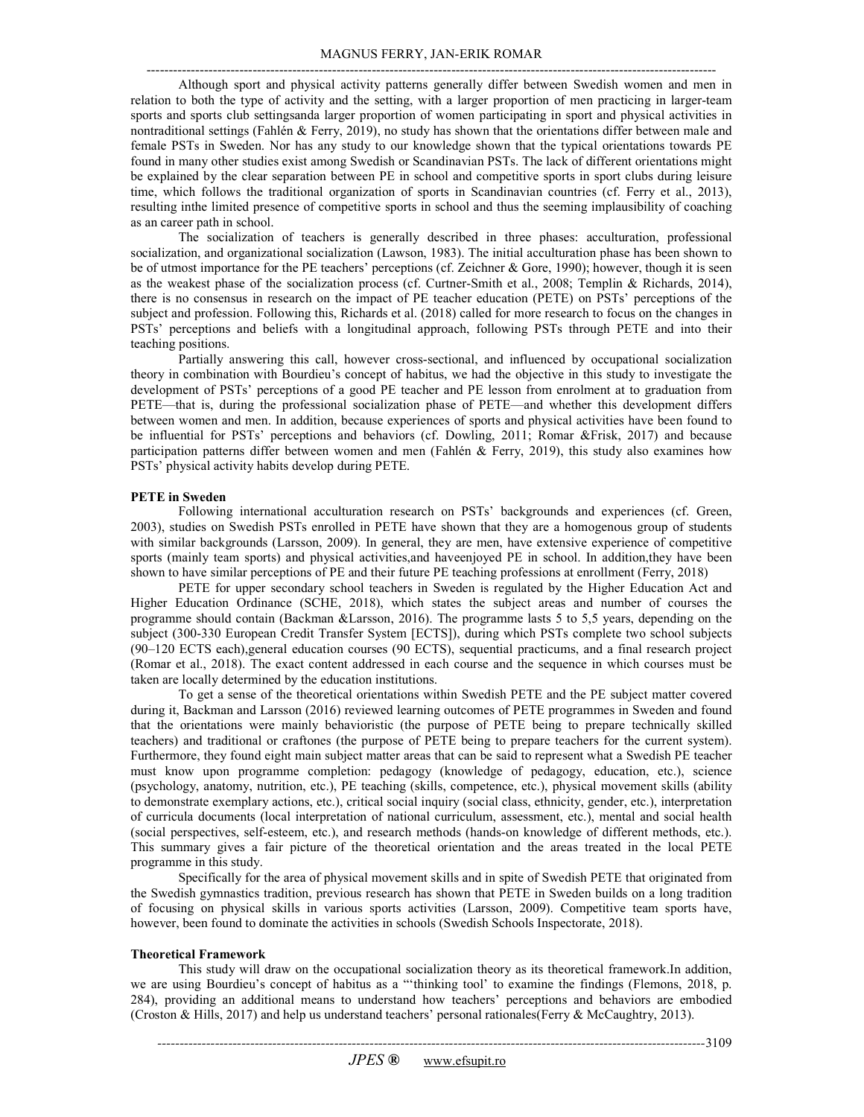Although sport and physical activity patterns generally differ between Swedish women and men in relation to both the type of activity and the setting, with a larger proportion of men practicing in larger-team sports and sports club settingsanda larger proportion of women participating in sport and physical activities in nontraditional settings (Fahlén & Ferry, 2019), no study has shown that the orientations differ between male and female PSTs in Sweden. Nor has any study to our knowledge shown that the typical orientations towards PE found in many other studies exist among Swedish or Scandinavian PSTs. The lack of different orientations might be explained by the clear separation between PE in school and competitive sports in sport clubs during leisure time, which follows the traditional organization of sports in Scandinavian countries (cf. Ferry et al., 2013), resulting inthe limited presence of competitive sports in school and thus the seeming implausibility of coaching as an career path in school.

The socialization of teachers is generally described in three phases: acculturation, professional socialization, and organizational socialization (Lawson, 1983). The initial acculturation phase has been shown to be of utmost importance for the PE teachers' perceptions (cf. Zeichner & Gore, 1990); however, though it is seen as the weakest phase of the socialization process (cf. Curtner-Smith et al., 2008; Templin & Richards, 2014), there is no consensus in research on the impact of PE teacher education (PETE) on PSTs' perceptions of the subject and profession. Following this, Richards et al. (2018) called for more research to focus on the changes in PSTs' perceptions and beliefs with a longitudinal approach, following PSTs through PETE and into their teaching positions.

Partially answering this call, however cross-sectional, and influenced by occupational socialization theory in combination with Bourdieu's concept of habitus, we had the objective in this study to investigate the development of PSTs' perceptions of a good PE teacher and PE lesson from enrolment at to graduation from PETE—that is, during the professional socialization phase of PETE—and whether this development differs between women and men. In addition, because experiences of sports and physical activities have been found to be influential for PSTs' perceptions and behaviors (cf. Dowling, 2011; Romar &Frisk, 2017) and because participation patterns differ between women and men (Fahlén & Ferry, 2019), this study also examines how PSTs' physical activity habits develop during PETE.

# **PETE in Sweden**

Following international acculturation research on PSTs' backgrounds and experiences (cf. Green, 2003), studies on Swedish PSTs enrolled in PETE have shown that they are a homogenous group of students with similar backgrounds (Larsson, 2009). In general, they are men, have extensive experience of competitive sports (mainly team sports) and physical activities,and haveenjoyed PE in school. In addition,they have been shown to have similar perceptions of PE and their future PE teaching professions at enrollment (Ferry, 2018)

PETE for upper secondary school teachers in Sweden is regulated by the Higher Education Act and Higher Education Ordinance (SCHE, 2018), which states the subject areas and number of courses the programme should contain (Backman &Larsson, 2016). The programme lasts 5 to 5,5 years, depending on the subject (300-330 European Credit Transfer System [ECTS]), during which PSTs complete two school subjects (90–120 ECTS each),general education courses (90 ECTS), sequential practicums, and a final research project (Romar et al., 2018). The exact content addressed in each course and the sequence in which courses must be taken are locally determined by the education institutions.

To get a sense of the theoretical orientations within Swedish PETE and the PE subject matter covered during it, Backman and Larsson (2016) reviewed learning outcomes of PETE programmes in Sweden and found that the orientations were mainly behavioristic (the purpose of PETE being to prepare technically skilled teachers) and traditional or craftones (the purpose of PETE being to prepare teachers for the current system). Furthermore, they found eight main subject matter areas that can be said to represent what a Swedish PE teacher must know upon programme completion: pedagogy (knowledge of pedagogy, education, etc.), science (psychology, anatomy, nutrition, etc.), PE teaching (skills, competence, etc.), physical movement skills (ability to demonstrate exemplary actions, etc.), critical social inquiry (social class, ethnicity, gender, etc.), interpretation of curricula documents (local interpretation of national curriculum, assessment, etc.), mental and social health (social perspectives, self-esteem, etc.), and research methods (hands-on knowledge of different methods, etc.). This summary gives a fair picture of the theoretical orientation and the areas treated in the local PETE programme in this study.

Specifically for the area of physical movement skills and in spite of Swedish PETE that originated from the Swedish gymnastics tradition, previous research has shown that PETE in Sweden builds on a long tradition of focusing on physical skills in various sports activities (Larsson, 2009). Competitive team sports have, however, been found to dominate the activities in schools (Swedish Schools Inspectorate, 2018).

# **Theoretical Framework**

This study will draw on the occupational socialization theory as its theoretical framework.In addition, we are using Bourdieu's concept of habitus as a "'thinking tool' to examine the findings (Flemons, 2018, p. 284), providing an additional means to understand how teachers' perceptions and behaviors are embodied (Croston & Hills, 2017) and help us understand teachers' personal rationales(Ferry & McCaughtry, 2013).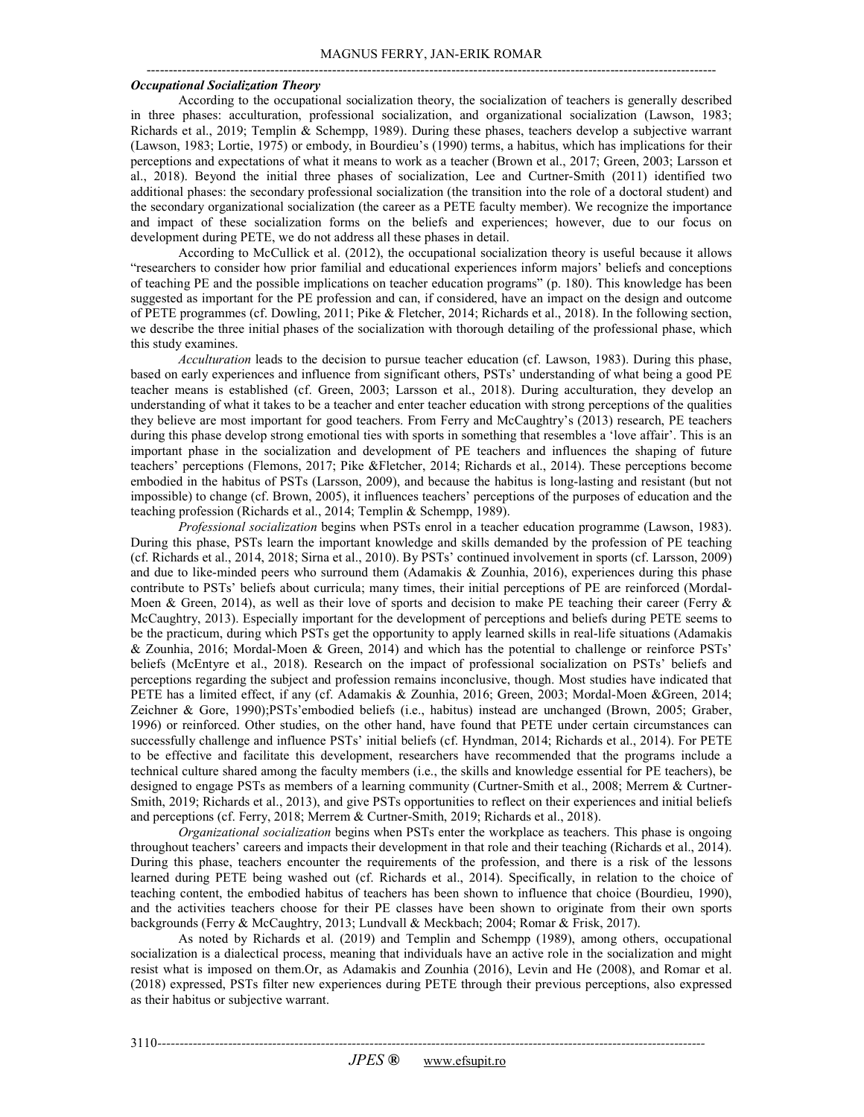#### *Occupational Socialization Theory*

According to the occupational socialization theory, the socialization of teachers is generally described in three phases: acculturation, professional socialization, and organizational socialization (Lawson, 1983; Richards et al., 2019; Templin & Schempp, 1989). During these phases, teachers develop a subjective warrant (Lawson, 1983; Lortie, 1975) or embody, in Bourdieu's (1990) terms, a habitus, which has implications for their perceptions and expectations of what it means to work as a teacher (Brown et al., 2017; Green, 2003; Larsson et al., 2018). Beyond the initial three phases of socialization, Lee and Curtner-Smith (2011) identified two additional phases: the secondary professional socialization (the transition into the role of a doctoral student) and the secondary organizational socialization (the career as a PETE faculty member). We recognize the importance and impact of these socialization forms on the beliefs and experiences; however, due to our focus on development during PETE, we do not address all these phases in detail.

According to McCullick et al. (2012), the occupational socialization theory is useful because it allows "researchers to consider how prior familial and educational experiences inform majors' beliefs and conceptions of teaching PE and the possible implications on teacher education programs" (p. 180). This knowledge has been suggested as important for the PE profession and can, if considered, have an impact on the design and outcome of PETE programmes (cf. Dowling, 2011; Pike & Fletcher, 2014; Richards et al., 2018). In the following section, we describe the three initial phases of the socialization with thorough detailing of the professional phase, which this study examines.

*Acculturation* leads to the decision to pursue teacher education (cf. Lawson, 1983). During this phase, based on early experiences and influence from significant others, PSTs' understanding of what being a good PE teacher means is established (cf. Green, 2003; Larsson et al., 2018). During acculturation, they develop an understanding of what it takes to be a teacher and enter teacher education with strong perceptions of the qualities they believe are most important for good teachers. From Ferry and McCaughtry's (2013) research, PE teachers during this phase develop strong emotional ties with sports in something that resembles a 'love affair'. This is an important phase in the socialization and development of PE teachers and influences the shaping of future teachers' perceptions (Flemons, 2017; Pike &Fletcher, 2014; Richards et al., 2014). These perceptions become embodied in the habitus of PSTs (Larsson, 2009), and because the habitus is long-lasting and resistant (but not impossible) to change (cf. Brown, 2005), it influences teachers' perceptions of the purposes of education and the teaching profession (Richards et al., 2014; Templin & Schempp, 1989).

*Professional socialization* begins when PSTs enrol in a teacher education programme (Lawson, 1983). During this phase, PSTs learn the important knowledge and skills demanded by the profession of PE teaching (cf. Richards et al., 2014, 2018; Sirna et al., 2010). By PSTs' continued involvement in sports (cf. Larsson, 2009) and due to like-minded peers who surround them (Adamakis & Zounhia, 2016), experiences during this phase contribute to PSTs' beliefs about curricula; many times, their initial perceptions of PE are reinforced (Mordal-Moen & Green, 2014), as well as their love of sports and decision to make PE teaching their career (Ferry & McCaughtry, 2013). Especially important for the development of perceptions and beliefs during PETE seems to be the practicum, during which PSTs get the opportunity to apply learned skills in real-life situations (Adamakis & Zounhia, 2016; Mordal-Moen & Green, 2014) and which has the potential to challenge or reinforce PSTs' beliefs (McEntyre et al., 2018). Research on the impact of professional socialization on PSTs' beliefs and perceptions regarding the subject and profession remains inconclusive, though. Most studies have indicated that PETE has a limited effect, if any (cf. Adamakis & Zounhia, 2016; Green, 2003; Mordal-Moen &Green, 2014; Zeichner & Gore, 1990);PSTs'embodied beliefs (i.e., habitus) instead are unchanged (Brown, 2005; Graber, 1996) or reinforced. Other studies, on the other hand, have found that PETE under certain circumstances can successfully challenge and influence PSTs' initial beliefs (cf. Hyndman, 2014; Richards et al., 2014). For PETE to be effective and facilitate this development, researchers have recommended that the programs include a technical culture shared among the faculty members (i.e., the skills and knowledge essential for PE teachers), be designed to engage PSTs as members of a learning community (Curtner-Smith et al., 2008; Merrem & Curtner-Smith, 2019; Richards et al., 2013), and give PSTs opportunities to reflect on their experiences and initial beliefs and perceptions (cf. Ferry, 2018; Merrem & Curtner-Smith, 2019; Richards et al., 2018).

*Organizational socialization* begins when PSTs enter the workplace as teachers. This phase is ongoing throughout teachers' careers and impacts their development in that role and their teaching (Richards et al., 2014). During this phase, teachers encounter the requirements of the profession, and there is a risk of the lessons learned during PETE being washed out (cf. Richards et al., 2014). Specifically, in relation to the choice of teaching content, the embodied habitus of teachers has been shown to influence that choice (Bourdieu, 1990), and the activities teachers choose for their PE classes have been shown to originate from their own sports backgrounds (Ferry & McCaughtry, 2013; Lundvall & Meckbach; 2004; Romar & Frisk, 2017).

As noted by Richards et al. (2019) and Templin and Schempp (1989), among others, occupational socialization is a dialectical process, meaning that individuals have an active role in the socialization and might resist what is imposed on them.Or, as Adamakis and Zounhia (2016), Levin and He (2008), and Romar et al. (2018) expressed, PSTs filter new experiences during PETE through their previous perceptions, also expressed as their habitus or subjective warrant.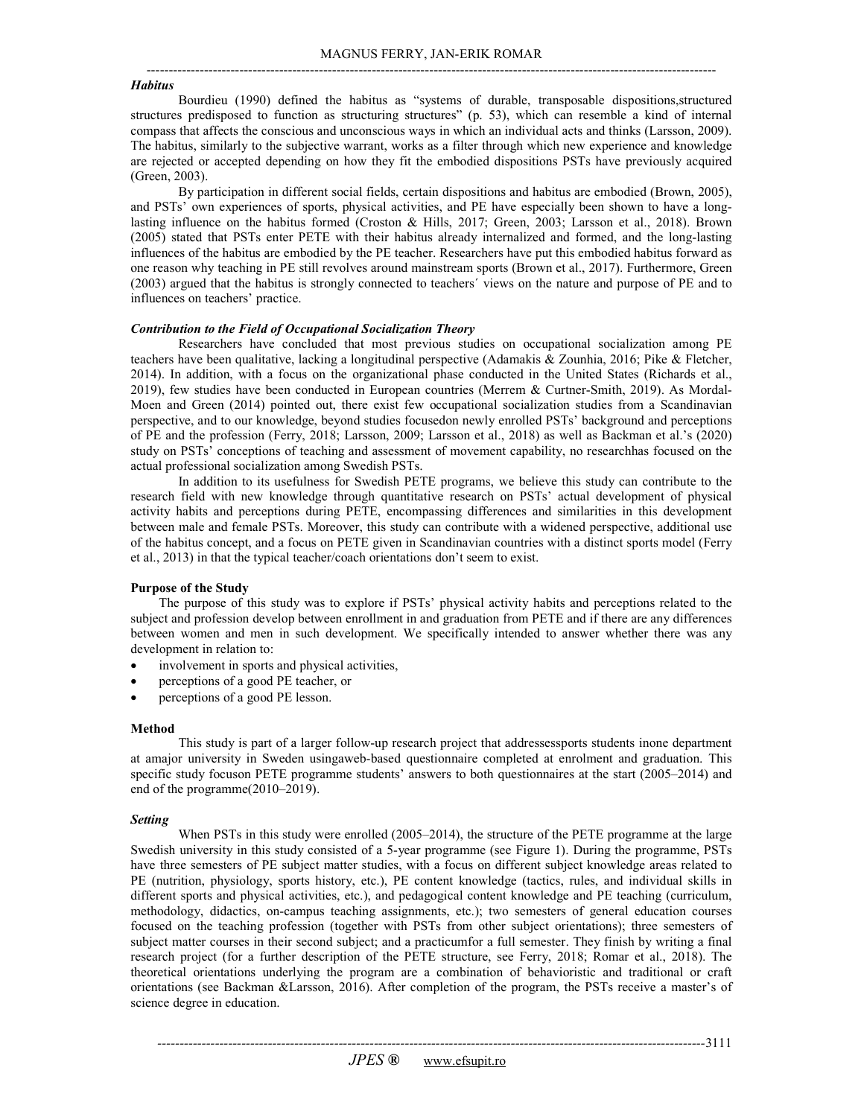#### *Habitus*

Bourdieu (1990) defined the habitus as "systems of durable, transposable dispositions,structured structures predisposed to function as structuring structures" (p. 53), which can resemble a kind of internal compass that affects the conscious and unconscious ways in which an individual acts and thinks (Larsson, 2009). The habitus, similarly to the subjective warrant, works as a filter through which new experience and knowledge are rejected or accepted depending on how they fit the embodied dispositions PSTs have previously acquired (Green, 2003).

By participation in different social fields, certain dispositions and habitus are embodied (Brown, 2005), and PSTs' own experiences of sports, physical activities, and PE have especially been shown to have a longlasting influence on the habitus formed (Croston & Hills, 2017; Green, 2003; Larsson et al., 2018). Brown (2005) stated that PSTs enter PETE with their habitus already internalized and formed, and the long-lasting influences of the habitus are embodied by the PE teacher. Researchers have put this embodied habitus forward as one reason why teaching in PE still revolves around mainstream sports (Brown et al., 2017). Furthermore, Green (2003) argued that the habitus is strongly connected to teachers´ views on the nature and purpose of PE and to influences on teachers' practice.

# *Contribution to the Field of Occupational Socialization Theory*

Researchers have concluded that most previous studies on occupational socialization among PE teachers have been qualitative, lacking a longitudinal perspective (Adamakis & Zounhia, 2016; Pike & Fletcher, 2014). In addition, with a focus on the organizational phase conducted in the United States (Richards et al., 2019), few studies have been conducted in European countries (Merrem & Curtner-Smith, 2019). As Mordal-Moen and Green (2014) pointed out, there exist few occupational socialization studies from a Scandinavian perspective, and to our knowledge, beyond studies focusedon newly enrolled PSTs' background and perceptions of PE and the profession (Ferry, 2018; Larsson, 2009; Larsson et al., 2018) as well as Backman et al.'s (2020) study on PSTs' conceptions of teaching and assessment of movement capability, no researchhas focused on the actual professional socialization among Swedish PSTs.

In addition to its usefulness for Swedish PETE programs, we believe this study can contribute to the research field with new knowledge through quantitative research on PSTs' actual development of physical activity habits and perceptions during PETE, encompassing differences and similarities in this development between male and female PSTs. Moreover, this study can contribute with a widened perspective, additional use of the habitus concept, and a focus on PETE given in Scandinavian countries with a distinct sports model (Ferry et al., 2013) in that the typical teacher/coach orientations don't seem to exist.

# **Purpose of the Study**

The purpose of this study was to explore if PSTs' physical activity habits and perceptions related to the subject and profession develop between enrollment in and graduation from PETE and if there are any differences between women and men in such development. We specifically intended to answer whether there was any development in relation to:

- involvement in sports and physical activities,
- perceptions of a good PE teacher, or
- perceptions of a good PE lesson.

# **Method**

This study is part of a larger follow-up research project that addressessports students inone department at amajor university in Sweden usingaweb-based questionnaire completed at enrolment and graduation. This specific study focuson PETE programme students' answers to both questionnaires at the start (2005–2014) and end of the programme(2010–2019).

#### *Setting*

When PSTs in this study were enrolled (2005–2014), the structure of the PETE programme at the large Swedish university in this study consisted of a 5-year programme (see Figure 1). During the programme, PSTs have three semesters of PE subject matter studies, with a focus on different subject knowledge areas related to PE (nutrition, physiology, sports history, etc.), PE content knowledge (tactics, rules, and individual skills in different sports and physical activities, etc.), and pedagogical content knowledge and PE teaching (curriculum, methodology, didactics, on-campus teaching assignments, etc.); two semesters of general education courses focused on the teaching profession (together with PSTs from other subject orientations); three semesters of subject matter courses in their second subject; and a practicumfor a full semester. They finish by writing a final research project (for a further description of the PETE structure, see Ferry, 2018; Romar et al., 2018). The theoretical orientations underlying the program are a combination of behavioristic and traditional or craft orientations (see Backman &Larsson, 2016). After completion of the program, the PSTs receive a master's of science degree in education.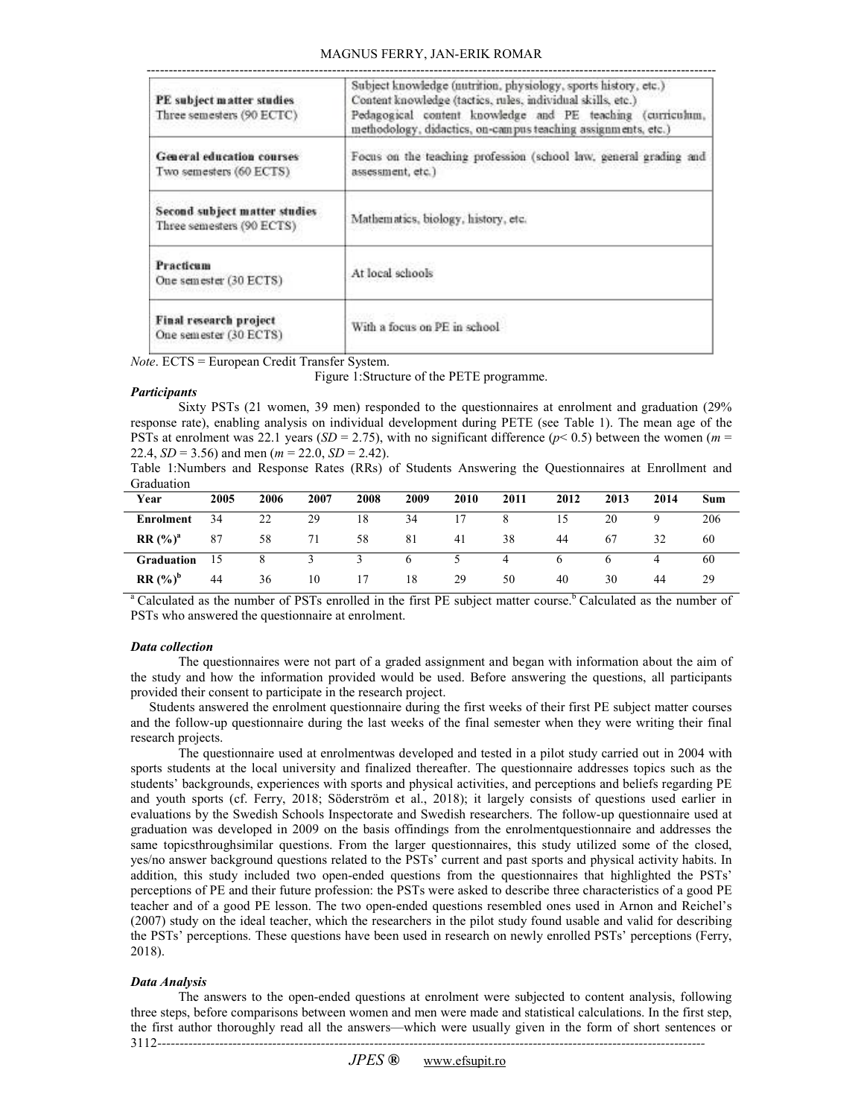# MAGNUS FERRY, JAN-ERIK ROMAR

| PE subject matter studies<br>Three semesters (90 ECTC)      | Subject knowledge (nutrition, physiology, sports history, etc.)<br>Content knowledge (tactics, rules, individual skills, etc.)<br>Pedagogical content knowledge and PE teaching (curriculum,<br>methodology, didactics, on-campus teaching assignments, etc.) |
|-------------------------------------------------------------|---------------------------------------------------------------------------------------------------------------------------------------------------------------------------------------------------------------------------------------------------------------|
| <b>General education courses</b><br>Two semesters (60 ECTS) | Focus on the teaching profession (school law, general grading and<br>assessment, etc.)                                                                                                                                                                        |
| Second subject matter studies<br>Three semesters (90 ECTS)  | Mathematics, biology, history, etc.                                                                                                                                                                                                                           |
| Practicum<br>One semester (30 ECTS)                         | At local schools                                                                                                                                                                                                                                              |
| Final research project<br>One semester (30 ECTS)            | With a focus on PE in school                                                                                                                                                                                                                                  |

*Note*. ECTS = European Credit Transfer System.

Figure 1:Structure of the PETE programme.

## *Participants*

Sixty PSTs (21 women, 39 men) responded to the questionnaires at enrolment and graduation (29% response rate), enabling analysis on individual development during PETE (see Table 1). The mean age of the PSTs at enrolment was 22.1 years (*SD* = 2.75), with no significant difference (*p*< 0.5) between the women (*m* = 22.4,  $SD = 3.56$ ) and men ( $m = 22.0$ ,  $SD = 2.42$ ).

Table 1:Numbers and Response Rates (RRs) of Students Answering the Questionnaires at Enrollment and Graduation

| Year              | 2005 | 2006 | 2007 | 2008 | 2009         | 2010 | 2011 | 2012 | 2013 | 2014 | Sum |
|-------------------|------|------|------|------|--------------|------|------|------|------|------|-----|
| Enrolment         | 34   | 22   | 29   | 18   | 34           | 17   |      | 15   | 20   |      | 206 |
| $RR(%)^a$         | 87   | 58   |      | 58   | 81           | 41   | 38   | 44   | 67   | 32   | 60  |
| <b>Graduation</b> |      |      |      |      | <sub>0</sub> |      | 4    |      |      |      | 60  |
| $RR(%)^b$         | 44   | 36   | 10   |      | 18           | 29   | 50   | 40   | 30   | 44   | 29  |

<sup>a</sup>Calculated as the number of PSTs enrolled in the first PE subject matter course.<sup>b</sup> Calculated as the number of PSTs who answered the questionnaire at enrolment.

#### *Data collection*

The questionnaires were not part of a graded assignment and began with information about the aim of the study and how the information provided would be used. Before answering the questions, all participants provided their consent to participate in the research project.

Students answered the enrolment questionnaire during the first weeks of their first PE subject matter courses and the follow-up questionnaire during the last weeks of the final semester when they were writing their final research projects.

The questionnaire used at enrolmentwas developed and tested in a pilot study carried out in 2004 with sports students at the local university and finalized thereafter. The questionnaire addresses topics such as the students' backgrounds, experiences with sports and physical activities, and perceptions and beliefs regarding PE and youth sports (cf. Ferry, 2018; Söderström et al., 2018); it largely consists of questions used earlier in evaluations by the Swedish Schools Inspectorate and Swedish researchers. The follow-up questionnaire used at graduation was developed in 2009 on the basis offindings from the enrolmentquestionnaire and addresses the same topicsthroughsimilar questions. From the larger questionnaires, this study utilized some of the closed, yes/no answer background questions related to the PSTs' current and past sports and physical activity habits. In addition, this study included two open-ended questions from the questionnaires that highlighted the PSTs' perceptions of PE and their future profession: the PSTs were asked to describe three characteristics of a good PE teacher and of a good PE lesson. The two open-ended questions resembled ones used in Arnon and Reichel's (2007) study on the ideal teacher, which the researchers in the pilot study found usable and valid for describing the PSTs' perceptions. These questions have been used in research on newly enrolled PSTs' perceptions (Ferry, 2018).

### *Data Analysis*

*----------------------------------------------------------------------------------------------------------------------------*  3112 The answers to the open-ended questions at enrolment were subjected to content analysis, following three steps, before comparisons between women and men were made and statistical calculations. In the first step, the first author thoroughly read all the answers—which were usually given in the form of short sentences or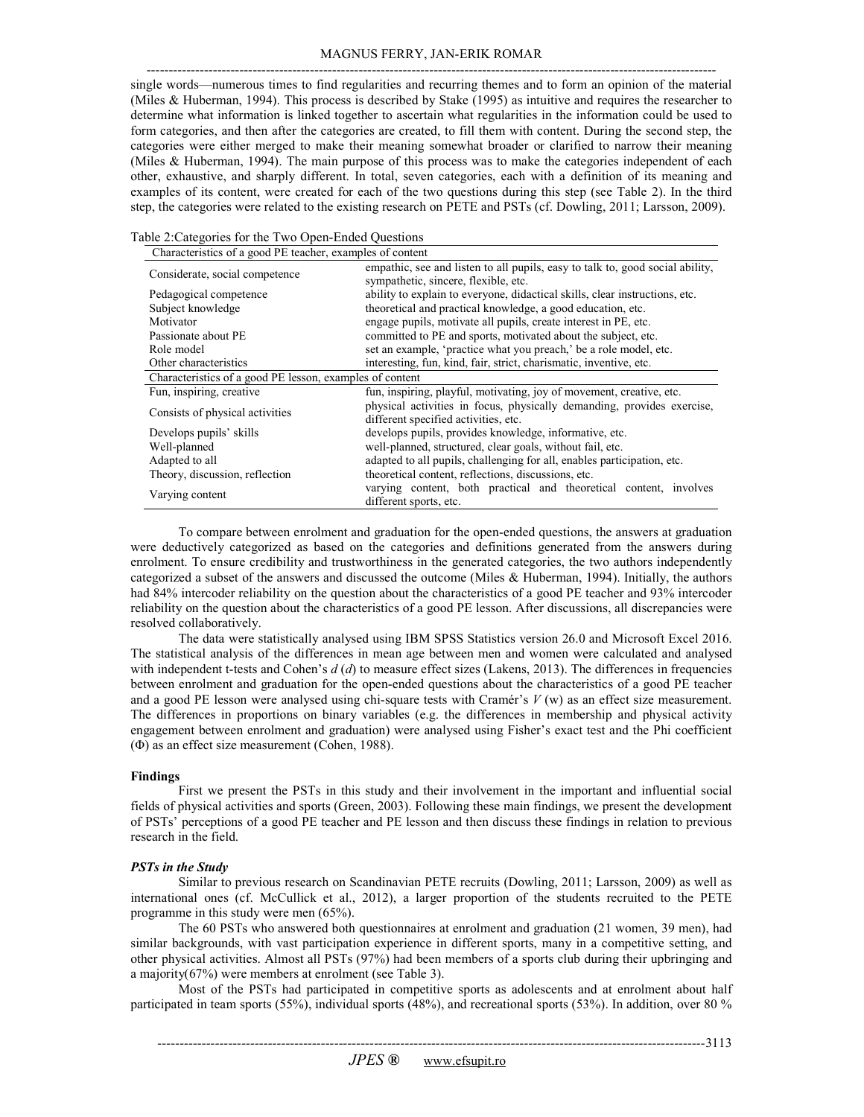# MAGNUS FERRY, JAN-ERIK ROMAR

-------------------------------------------------------------------------------------------------------------------------------- single words—numerous times to find regularities and recurring themes and to form an opinion of the material (Miles & Huberman, 1994). This process is described by Stake (1995) as intuitive and requires the researcher to determine what information is linked together to ascertain what regularities in the information could be used to form categories, and then after the categories are created, to fill them with content. During the second step, the categories were either merged to make their meaning somewhat broader or clarified to narrow their meaning (Miles & Huberman, 1994). The main purpose of this process was to make the categories independent of each other, exhaustive, and sharply different. In total, seven categories, each with a definition of its meaning and examples of its content, were created for each of the two questions during this step (see Table 2). In the third step, the categories were related to the existing research on PETE and PSTs (cf. Dowling, 2011; Larsson, 2009).

|  |  |  |  |  |  |  |  |  |  | Table 2:Categories for the Two Open-Ended Questions |  |  |  |
|--|--|--|--|--|--|--|--|--|--|-----------------------------------------------------|--|--|--|
|--|--|--|--|--|--|--|--|--|--|-----------------------------------------------------|--|--|--|

| Characteristics of a good PE teacher, examples of content |                                                                                             |  |  |  |  |  |
|-----------------------------------------------------------|---------------------------------------------------------------------------------------------|--|--|--|--|--|
| Considerate, social competence                            | empathic, see and listen to all pupils, easy to talk to, good social ability,               |  |  |  |  |  |
|                                                           | sympathetic, sincere, flexible, etc.                                                        |  |  |  |  |  |
| Pedagogical competence                                    | ability to explain to everyone, didactical skills, clear instructions, etc.                 |  |  |  |  |  |
| Subject knowledge                                         | theoretical and practical knowledge, a good education, etc.                                 |  |  |  |  |  |
| Motivator                                                 | engage pupils, motivate all pupils, create interest in PE, etc.                             |  |  |  |  |  |
| Passionate about PE                                       | committed to PE and sports, motivated about the subject, etc.                               |  |  |  |  |  |
| Role model                                                | set an example, 'practice what you preach,' be a role model, etc.                           |  |  |  |  |  |
| Other characteristics                                     | interesting, fun, kind, fair, strict, charismatic, inventive, etc.                          |  |  |  |  |  |
| Characteristics of a good PE lesson, examples of content  |                                                                                             |  |  |  |  |  |
| Fun, inspiring, creative                                  | fun, inspiring, playful, motivating, joy of movement, creative, etc.                        |  |  |  |  |  |
| Consists of physical activities                           | physical activities in focus, physically demanding, provides exercise,                      |  |  |  |  |  |
|                                                           | different specified activities, etc.                                                        |  |  |  |  |  |
| Develops pupils' skills                                   | develops pupils, provides knowledge, informative, etc.                                      |  |  |  |  |  |
| Well-planned                                              | well-planned, structured, clear goals, without fail, etc.                                   |  |  |  |  |  |
| Adapted to all                                            | adapted to all pupils, challenging for all, enables participation, etc.                     |  |  |  |  |  |
| Theory, discussion, reflection                            | theoretical content, reflections, discussions, etc.                                         |  |  |  |  |  |
| Varying content                                           | varying content, both practical and theoretical content, involves<br>different sports, etc. |  |  |  |  |  |

To compare between enrolment and graduation for the open-ended questions, the answers at graduation were deductively categorized as based on the categories and definitions generated from the answers during enrolment. To ensure credibility and trustworthiness in the generated categories, the two authors independently categorized a subset of the answers and discussed the outcome (Miles & Huberman, 1994). Initially, the authors had 84% intercoder reliability on the question about the characteristics of a good PE teacher and 93% intercoder reliability on the question about the characteristics of a good PE lesson. After discussions, all discrepancies were resolved collaboratively.

The data were statistically analysed using IBM SPSS Statistics version 26.0 and Microsoft Excel 2016. The statistical analysis of the differences in mean age between men and women were calculated and analysed with independent t-tests and Cohen's *d* (*d*) to measure effect sizes (Lakens, 2013). The differences in frequencies between enrolment and graduation for the open-ended questions about the characteristics of a good PE teacher and a good PE lesson were analysed using chi-square tests with Cramér's *V* (w) as an effect size measurement. The differences in proportions on binary variables (e.g. the differences in membership and physical activity engagement between enrolment and graduation) were analysed using Fisher's exact test and the Phi coefficient (Φ) as an effect size measurement (Cohen, 1988).

#### **Findings**

First we present the PSTs in this study and their involvement in the important and influential social fields of physical activities and sports (Green, 2003). Following these main findings, we present the development of PSTs' perceptions of a good PE teacher and PE lesson and then discuss these findings in relation to previous research in the field.

# *PSTs in the Study*

Similar to previous research on Scandinavian PETE recruits (Dowling, 2011; Larsson, 2009) as well as international ones (cf. McCullick et al., 2012), a larger proportion of the students recruited to the PETE programme in this study were men (65%).

The 60 PSTs who answered both questionnaires at enrolment and graduation (21 women, 39 men), had similar backgrounds, with vast participation experience in different sports, many in a competitive setting, and other physical activities. Almost all PSTs (97%) had been members of a sports club during their upbringing and a majority(67%) were members at enrolment (see Table 3).

Most of the PSTs had participated in competitive sports as adolescents and at enrolment about half participated in team sports (55%), individual sports (48%), and recreational sports (53%). In addition, over 80 %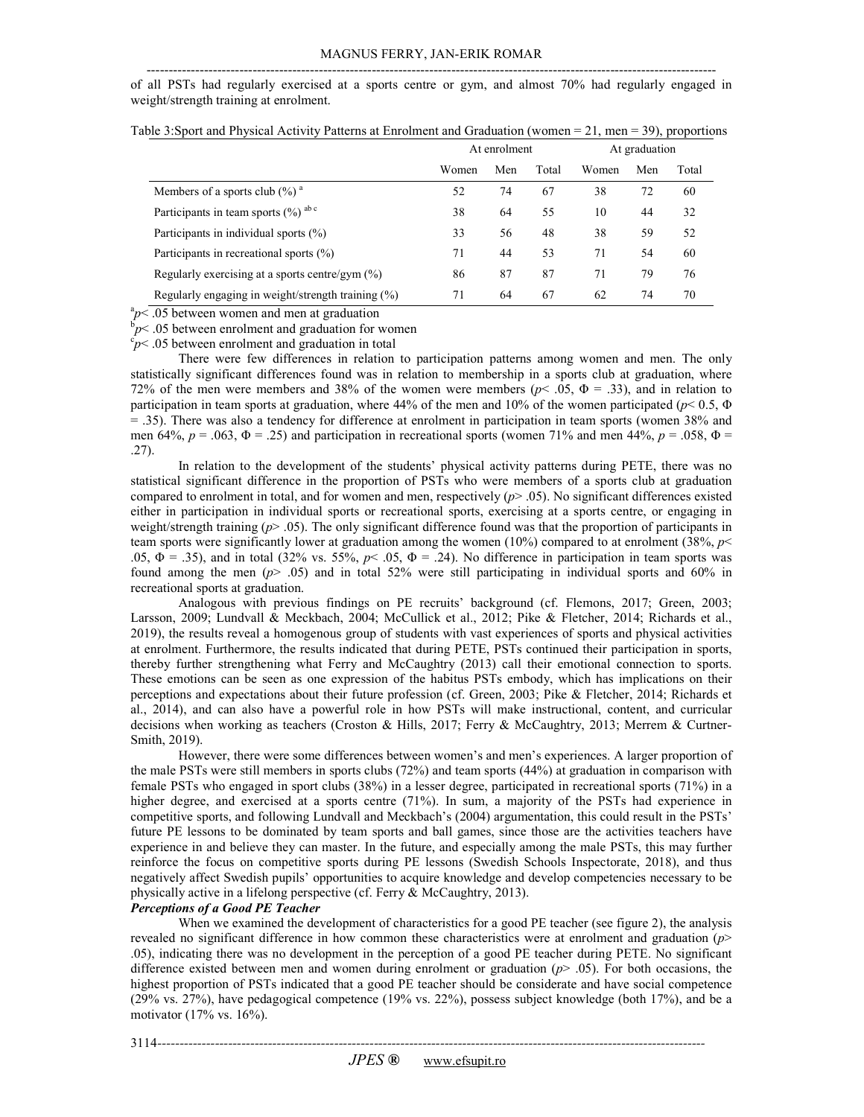---------------------------------------------------------------------------------------------------------------------------------

of all PSTs had regularly exercised at a sports centre or gym, and almost 70% had regularly engaged in weight/strength training at enrolment.

|                                                       | At enrolment |     |       | At graduation |     |       |
|-------------------------------------------------------|--------------|-----|-------|---------------|-----|-------|
|                                                       | Women        | Men | Total | Women         | Men | Total |
| Members of a sports club $(\%)^a$                     | 52           | 74  | 67    | 38            | 72  | 60    |
| Participants in team sports $(\%)$ abc                | 38           | 64  | 55    | 10            | 44  | 32    |
| Participants in individual sports (%)                 | 33           | 56  | 48    | 38            | 59  | 52    |
| Participants in recreational sports (%)               | 71           | 44  | 53    | 71            | 54  | 60    |
| Regularly exercising at a sports centre/gym (%)       | 86           | 87  | 87    | 71            | 79  | 76    |
| Regularly engaging in weight/strength training $(\%)$ | 71           | 64  | 67    | 62            | 74  | 70    |

Table 3:Sport and Physical Activity Patterns at Enrolment and Graduation (women = 21, men = 39), proportions

 $ap<$ .05 between women and men at graduation

 $\bar{p}$  < .05 between enrolment and graduation for women

 $\epsilon_P^{\rm c}$  = .05 between enrolment and graduation in total

There were few differences in relation to participation patterns among women and men. The only statistically significant differences found was in relation to membership in a sports club at graduation, where 72% of the men were members and 38% of the women were members ( $p$ < .05,  $\Phi$  = .33), and in relation to participation in team sports at graduation, where 44% of the men and 10% of the women participated (*p*< 0.5, Φ  $=$  .35). There was also a tendency for difference at enrolment in participation in team sports (women 38% and men 64%, *p* = .063, Φ = .25) and participation in recreational sports (women 71% and men 44%, *p* = .058, Φ = .27).

In relation to the development of the students' physical activity patterns during PETE, there was no statistical significant difference in the proportion of PSTs who were members of a sports club at graduation compared to enrolment in total, and for women and men, respectively  $(p > .05)$ . No significant differences existed either in participation in individual sports or recreational sports, exercising at a sports centre, or engaging in weight/strength training ( $p$ > .05). The only significant difference found was that the proportion of participants in team sports were significantly lower at graduation among the women (10%) compared to at enrolment (38%, *p*< .05,  $\Phi$  = .35), and in total (32% vs. 55%,  $p$  < .05,  $\Phi$  = .24). No difference in participation in team sports was found among the men (*p*> .05) and in total 52% were still participating in individual sports and 60% in recreational sports at graduation.

Analogous with previous findings on PE recruits' background (cf. Flemons, 2017; Green, 2003; Larsson, 2009; Lundvall & Meckbach, 2004; McCullick et al., 2012; Pike & Fletcher, 2014; Richards et al., 2019), the results reveal a homogenous group of students with vast experiences of sports and physical activities at enrolment. Furthermore, the results indicated that during PETE, PSTs continued their participation in sports, thereby further strengthening what Ferry and McCaughtry (2013) call their emotional connection to sports. These emotions can be seen as one expression of the habitus PSTs embody, which has implications on their perceptions and expectations about their future profession (cf. Green, 2003; Pike & Fletcher, 2014; Richards et al., 2014), and can also have a powerful role in how PSTs will make instructional, content, and curricular decisions when working as teachers (Croston & Hills, 2017; Ferry & McCaughtry, 2013; Merrem & Curtner-Smith, 2019).

However, there were some differences between women's and men's experiences. A larger proportion of the male PSTs were still members in sports clubs (72%) and team sports (44%) at graduation in comparison with female PSTs who engaged in sport clubs (38%) in a lesser degree, participated in recreational sports (71%) in a higher degree, and exercised at a sports centre (71%). In sum, a majority of the PSTs had experience in competitive sports, and following Lundvall and Meckbach's (2004) argumentation, this could result in the PSTs' future PE lessons to be dominated by team sports and ball games, since those are the activities teachers have experience in and believe they can master. In the future, and especially among the male PSTs, this may further reinforce the focus on competitive sports during PE lessons (Swedish Schools Inspectorate, 2018), and thus negatively affect Swedish pupils' opportunities to acquire knowledge and develop competencies necessary to be physically active in a lifelong perspective (cf. Ferry & McCaughtry, 2013).

# *Perceptions of a Good PE Teacher*

When we examined the development of characteristics for a good PE teacher (see figure 2), the analysis revealed no significant difference in how common these characteristics were at enrolment and graduation (*p*> .05), indicating there was no development in the perception of a good PE teacher during PETE. No significant difference existed between men and women during enrolment or graduation (*p*> .05). For both occasions, the highest proportion of PSTs indicated that a good PE teacher should be considerate and have social competence (29% vs. 27%), have pedagogical competence (19% vs. 22%), possess subject knowledge (both 17%), and be a motivator (17% vs. 16%).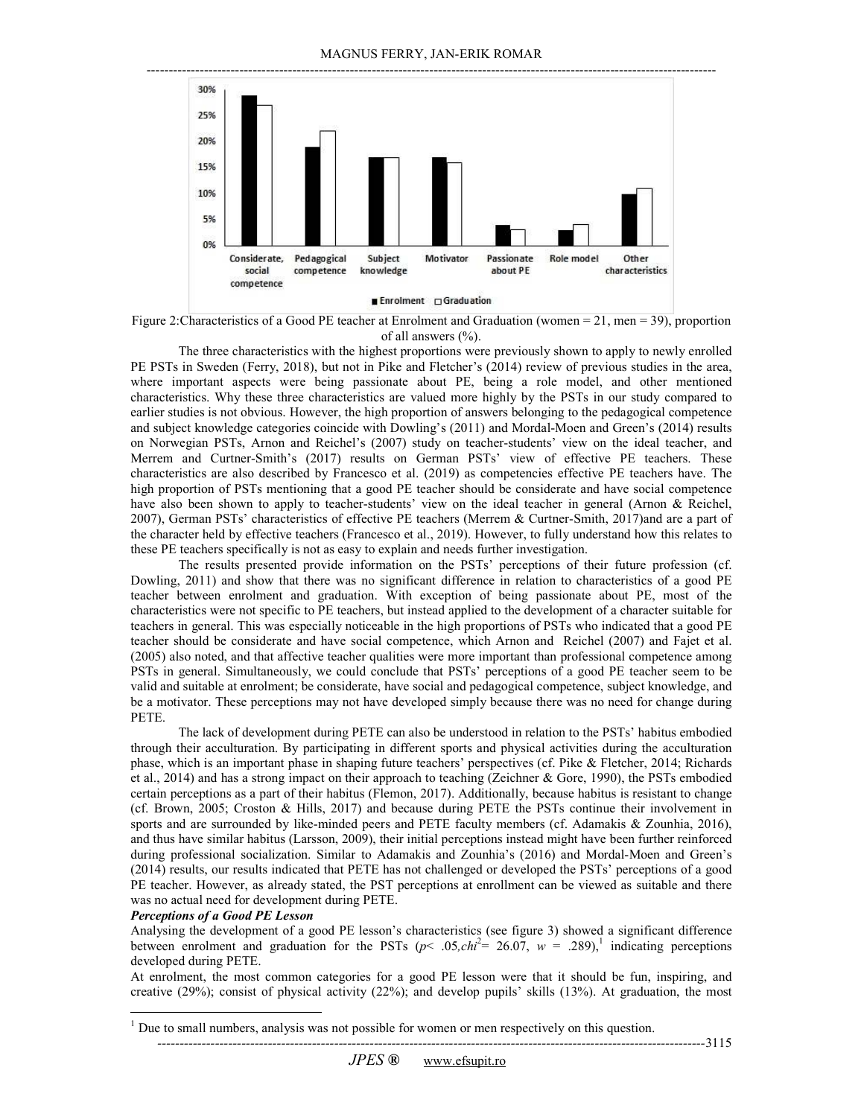

Figure 2:Characteristics of a Good PE teacher at Enrolment and Graduation (women = 21, men = 39), proportion of all answers (%).

The three characteristics with the highest proportions were previously shown to apply to newly enrolled PE PSTs in Sweden (Ferry, 2018), but not in Pike and Fletcher's (2014) review of previous studies in the area, where important aspects were being passionate about PE, being a role model, and other mentioned characteristics. Why these three characteristics are valued more highly by the PSTs in our study compared to earlier studies is not obvious. However, the high proportion of answers belonging to the pedagogical competence and subject knowledge categories coincide with Dowling's (2011) and Mordal-Moen and Green's (2014) results on Norwegian PSTs, Arnon and Reichel's (2007) study on teacher-students' view on the ideal teacher, and Merrem and Curtner-Smith's (2017) results on German PSTs' view of effective PE teachers. These characteristics are also described by Francesco et al. (2019) as competencies effective PE teachers have. The high proportion of PSTs mentioning that a good PE teacher should be considerate and have social competence have also been shown to apply to teacher-students' view on the ideal teacher in general (Arnon & Reichel, 2007), German PSTs' characteristics of effective PE teachers (Merrem & Curtner-Smith, 2017)and are a part of the character held by effective teachers (Francesco et al., 2019). However, to fully understand how this relates to these PE teachers specifically is not as easy to explain and needs further investigation.

The results presented provide information on the PSTs' perceptions of their future profession (cf. Dowling, 2011) and show that there was no significant difference in relation to characteristics of a good PE teacher between enrolment and graduation. With exception of being passionate about PE, most of the characteristics were not specific to PE teachers, but instead applied to the development of a character suitable for teachers in general. This was especially noticeable in the high proportions of PSTs who indicated that a good PE teacher should be considerate and have social competence, which Arnon and Reichel (2007) and Fajet et al. (2005) also noted, and that affective teacher qualities were more important than professional competence among PSTs in general. Simultaneously, we could conclude that PSTs' perceptions of a good PE teacher seem to be valid and suitable at enrolment; be considerate, have social and pedagogical competence, subject knowledge, and be a motivator. These perceptions may not have developed simply because there was no need for change during PETE.

The lack of development during PETE can also be understood in relation to the PSTs' habitus embodied through their acculturation. By participating in different sports and physical activities during the acculturation phase, which is an important phase in shaping future teachers' perspectives (cf. Pike & Fletcher, 2014; Richards et al., 2014) and has a strong impact on their approach to teaching (Zeichner & Gore, 1990), the PSTs embodied certain perceptions as a part of their habitus (Flemon, 2017). Additionally, because habitus is resistant to change (cf. Brown, 2005; Croston & Hills, 2017) and because during PETE the PSTs continue their involvement in sports and are surrounded by like-minded peers and PETE faculty members (cf. Adamakis & Zounhia, 2016), and thus have similar habitus (Larsson, 2009), their initial perceptions instead might have been further reinforced during professional socialization. Similar to Adamakis and Zounhia's (2016) and Mordal-Moen and Green's (2014) results, our results indicated that PETE has not challenged or developed the PSTs' perceptions of a good PE teacher. However, as already stated, the PST perceptions at enrollment can be viewed as suitable and there was no actual need for development during PETE.

#### *Perceptions of a Good PE Lesson*

 $\overline{1}$ 

Analysing the development of a good PE lesson's characteristics (see figure 3) showed a significant difference between enrolment and graduation for the PSTs ( $p$ < .05,*chi*<sup>2</sup>= 26.07,  $w = .289$ ),<sup>1</sup> indicating perceptions developed during PETE.

At enrolment, the most common categories for a good PE lesson were that it should be fun, inspiring, and creative (29%); consist of physical activity (22%); and develop pupils' skills (13%). At graduation, the most

-------------3115

 $<sup>1</sup>$  Due to small numbers, analysis was not possible for women or men respectively on this question.</sup>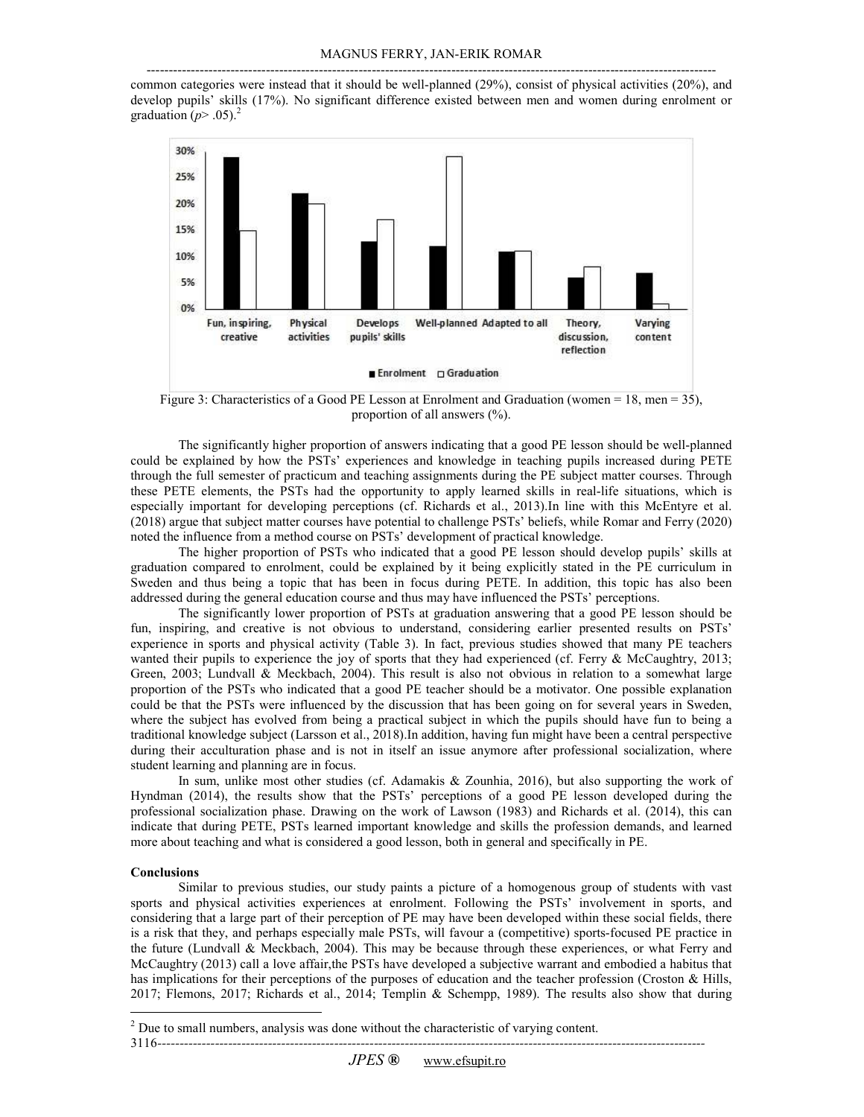-------------------------------------------------------------------------------------------------------------------------------- common categories were instead that it should be well-planned (29%), consist of physical activities (20%), and develop pupils' skills (17%). No significant difference existed between men and women during enrolment or graduation ( $p$ > .05).<sup>2</sup>



Figure 3: Characteristics of a Good PE Lesson at Enrolment and Graduation (women = 18, men = 35), proportion of all answers (%).

The significantly higher proportion of answers indicating that a good PE lesson should be well-planned could be explained by how the PSTs' experiences and knowledge in teaching pupils increased during PETE through the full semester of practicum and teaching assignments during the PE subject matter courses. Through these PETE elements, the PSTs had the opportunity to apply learned skills in real-life situations, which is especially important for developing perceptions (cf. Richards et al., 2013).In line with this McEntyre et al. (2018) argue that subject matter courses have potential to challenge PSTs' beliefs, while Romar and Ferry (2020) noted the influence from a method course on PSTs' development of practical knowledge.

The higher proportion of PSTs who indicated that a good PE lesson should develop pupils' skills at graduation compared to enrolment, could be explained by it being explicitly stated in the PE curriculum in Sweden and thus being a topic that has been in focus during PETE. In addition, this topic has also been addressed during the general education course and thus may have influenced the PSTs' perceptions.

The significantly lower proportion of PSTs at graduation answering that a good PE lesson should be fun, inspiring, and creative is not obvious to understand, considering earlier presented results on PSTs' experience in sports and physical activity (Table 3). In fact, previous studies showed that many PE teachers wanted their pupils to experience the joy of sports that they had experienced (cf. Ferry & McCaughtry, 2013; Green, 2003; Lundvall & Meckbach, 2004). This result is also not obvious in relation to a somewhat large proportion of the PSTs who indicated that a good PE teacher should be a motivator. One possible explanation could be that the PSTs were influenced by the discussion that has been going on for several years in Sweden, where the subject has evolved from being a practical subject in which the pupils should have fun to being a traditional knowledge subject (Larsson et al., 2018).In addition, having fun might have been a central perspective during their acculturation phase and is not in itself an issue anymore after professional socialization, where student learning and planning are in focus.

In sum, unlike most other studies (cf. Adamakis & Zounhia, 2016), but also supporting the work of Hyndman (2014), the results show that the PSTs' perceptions of a good PE lesson developed during the professional socialization phase. Drawing on the work of Lawson (1983) and Richards et al. (2014), this can indicate that during PETE, PSTs learned important knowledge and skills the profession demands, and learned more about teaching and what is considered a good lesson, both in general and specifically in PE.

# **Conclusions**

 $\overline{\phantom{a}}$ 

Similar to previous studies, our study paints a picture of a homogenous group of students with vast sports and physical activities experiences at enrolment. Following the PSTs' involvement in sports, and considering that a large part of their perception of PE may have been developed within these social fields, there is a risk that they, and perhaps especially male PSTs, will favour a (competitive) sports-focused PE practice in the future (Lundvall & Meckbach, 2004). This may be because through these experiences, or what Ferry and McCaughtry (2013) call a love affair,the PSTs have developed a subjective warrant and embodied a habitus that has implications for their perceptions of the purposes of education and the teacher profession (Croston & Hills, 2017; Flemons, 2017; Richards et al., 2014; Templin & Schempp, 1989). The results also show that during

 $2^{2}$  Due to small numbers, analysis was done without the characteristic of varying content.

*<sup>----------------------------------------------------------------------------------------------------------------------------</sup>*  3116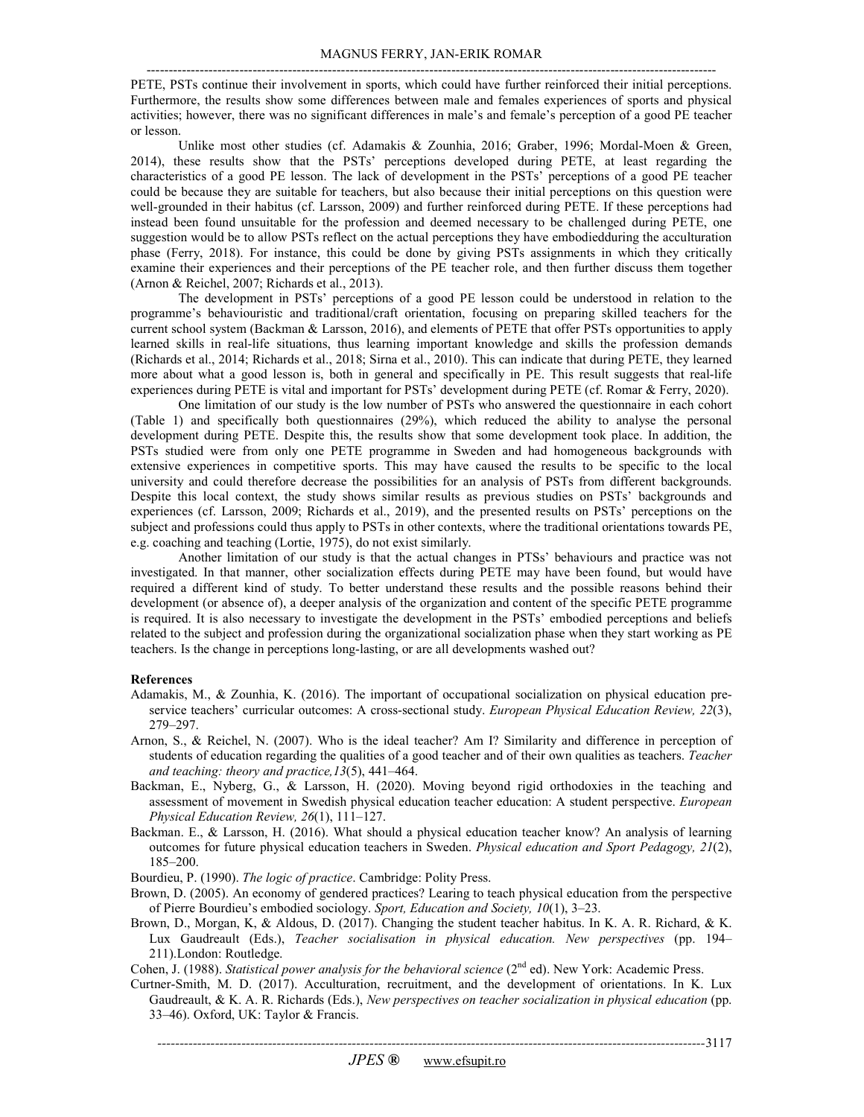PETE, PSTs continue their involvement in sports, which could have further reinforced their initial perceptions. Furthermore, the results show some differences between male and females experiences of sports and physical activities; however, there was no significant differences in male's and female's perception of a good PE teacher or lesson.

Unlike most other studies (cf. Adamakis & Zounhia, 2016; Graber, 1996; Mordal-Moen & Green, 2014), these results show that the PSTs' perceptions developed during PETE, at least regarding the characteristics of a good PE lesson. The lack of development in the PSTs' perceptions of a good PE teacher could be because they are suitable for teachers, but also because their initial perceptions on this question were well-grounded in their habitus (cf. Larsson, 2009) and further reinforced during PETE. If these perceptions had instead been found unsuitable for the profession and deemed necessary to be challenged during PETE, one suggestion would be to allow PSTs reflect on the actual perceptions they have embodiedduring the acculturation phase (Ferry, 2018). For instance, this could be done by giving PSTs assignments in which they critically examine their experiences and their perceptions of the PE teacher role, and then further discuss them together (Arnon & Reichel, 2007; Richards et al., 2013).

The development in PSTs' perceptions of a good PE lesson could be understood in relation to the programme's behaviouristic and traditional/craft orientation, focusing on preparing skilled teachers for the current school system (Backman & Larsson, 2016), and elements of PETE that offer PSTs opportunities to apply learned skills in real-life situations, thus learning important knowledge and skills the profession demands (Richards et al., 2014; Richards et al., 2018; Sirna et al., 2010). This can indicate that during PETE, they learned more about what a good lesson is, both in general and specifically in PE. This result suggests that real-life experiences during PETE is vital and important for PSTs' development during PETE (cf. Romar & Ferry, 2020).

One limitation of our study is the low number of PSTs who answered the questionnaire in each cohort (Table 1) and specifically both questionnaires (29%), which reduced the ability to analyse the personal development during PETE. Despite this, the results show that some development took place. In addition, the PSTs studied were from only one PETE programme in Sweden and had homogeneous backgrounds with extensive experiences in competitive sports. This may have caused the results to be specific to the local university and could therefore decrease the possibilities for an analysis of PSTs from different backgrounds. Despite this local context, the study shows similar results as previous studies on PSTs' backgrounds and experiences (cf. Larsson, 2009; Richards et al., 2019), and the presented results on PSTs' perceptions on the subject and professions could thus apply to PSTs in other contexts, where the traditional orientations towards PE, e.g. coaching and teaching (Lortie, 1975), do not exist similarly.

Another limitation of our study is that the actual changes in PTSs' behaviours and practice was not investigated. In that manner, other socialization effects during PETE may have been found, but would have required a different kind of study. To better understand these results and the possible reasons behind their development (or absence of), a deeper analysis of the organization and content of the specific PETE programme is required. It is also necessary to investigate the development in the PSTs' embodied perceptions and beliefs related to the subject and profession during the organizational socialization phase when they start working as PE teachers. Is the change in perceptions long-lasting, or are all developments washed out?

#### **References**

- Adamakis, M., & Zounhia, K. (2016). The important of occupational socialization on physical education preservice teachers' curricular outcomes: A cross-sectional study. *European Physical Education Review, 22*(3), 279–297.
- Arnon, S., & Reichel, N. (2007). Who is the ideal teacher? Am I? Similarity and difference in perception of students of education regarding the qualities of a good teacher and of their own qualities as teachers. *Teacher and teaching: theory and practice,13*(5), 441–464.
- Backman, E., Nyberg, G., & Larsson, H. (2020). Moving beyond rigid orthodoxies in the teaching and assessment of movement in Swedish physical education teacher education: A student perspective. *European Physical Education Review, 26*(1), 111–127.
- Backman. E., & Larsson, H. (2016). What should a physical education teacher know? An analysis of learning outcomes for future physical education teachers in Sweden. *Physical education and Sport Pedagogy, 21*(2), 185–200.

Bourdieu, P. (1990). *The logic of practice*. Cambridge: Polity Press.

- Brown, D. (2005). An economy of gendered practices? Learing to teach physical education from the perspective of Pierre Bourdieu's embodied sociology. *Sport, Education and Society, 10*(1), 3–23.
- Brown, D., Morgan, K, & Aldous, D. (2017). Changing the student teacher habitus. In K. A. R. Richard, & K. Lux Gaudreault (Eds.), *Teacher socialisation in physical education. New perspectives* (pp. 194– 211).London: Routledge.

Cohen, J. (1988). *Statistical power analysis for the behavioral science* (2<sup>nd</sup> ed). New York: Academic Press.

Curtner-Smith, M. D. (2017). Acculturation, recruitment, and the development of orientations. In K. Lux Gaudreault, & K. A. R. Richards (Eds.), *New perspectives on teacher socialization in physical education* (pp. 33–46). Oxford, UK: Taylor & Francis.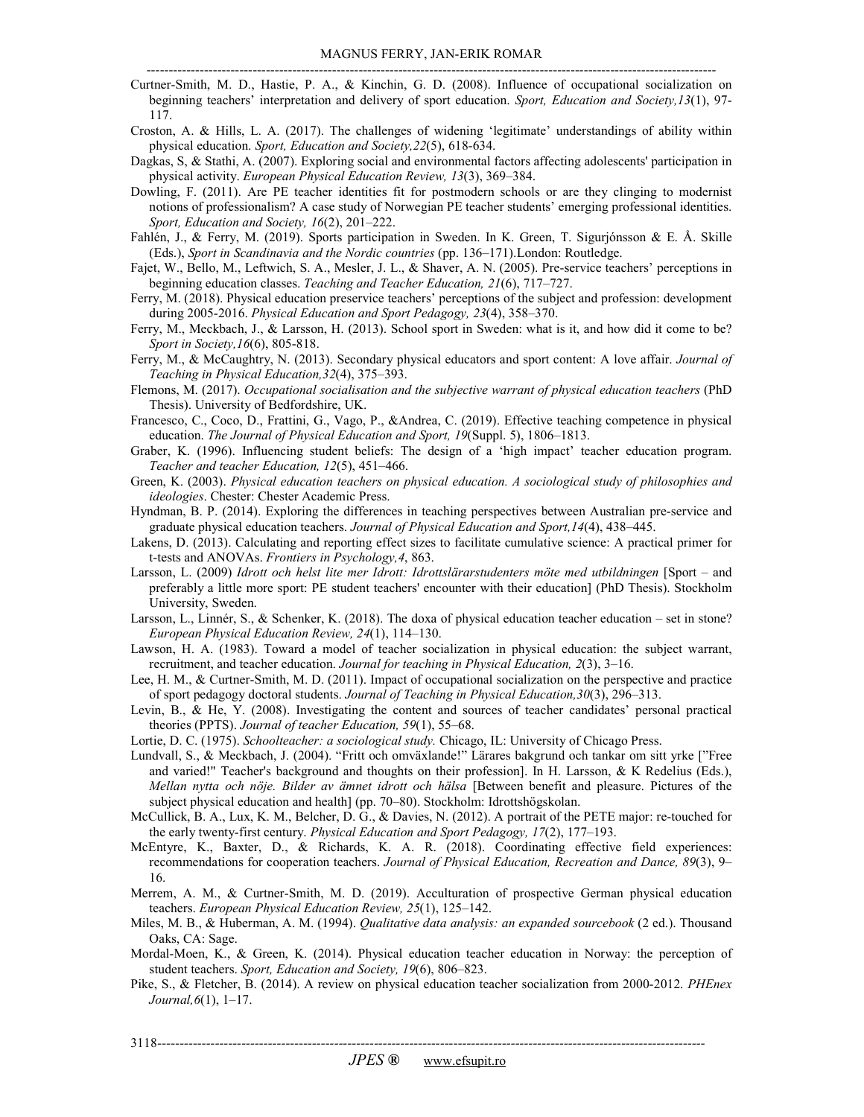- Curtner-Smith, M. D., Hastie, P. A., & Kinchin, G. D. (2008). Influence of occupational socialization on beginning teachers' interpretation and delivery of sport education. *Sport, Education and Society,13*(1), 97- 117.
- Croston, A. & Hills, L. A. (2017). The challenges of widening 'legitimate' understandings of ability within physical education. *Sport, Education and Society,22*(5), 618-634.
- Dagkas, S, & Stathi, A. (2007). Exploring social and environmental factors affecting adolescents' participation in physical activity. *European Physical Education Review, 13*(3), 369–384.
- Dowling, F. (2011). Are PE teacher identities fit for postmodern schools or are they clinging to modernist notions of professionalism? A case study of Norwegian PE teacher students' emerging professional identities. *Sport, Education and Society, 16*(2), 201–222.
- Fahlén, J., & Ferry, M. (2019). Sports participation in Sweden. In K. Green, T. Sigurjónsson & E. Å. Skille (Eds.), *Sport in Scandinavia and the Nordic countries* (pp. 136–171).London: Routledge.
- Fajet, W., Bello, M., Leftwich, S. A., Mesler, J. L., & Shaver, A. N. (2005). Pre-service teachers' perceptions in beginning education classes. *Teaching and Teacher Education, 21*(6), 717–727.
- Ferry, M. (2018). Physical education preservice teachers' perceptions of the subject and profession: development during 2005-2016. *Physical Education and Sport Pedagogy, 23*(4), 358–370.
- Ferry, M., Meckbach, J., & Larsson, H. (2013). School sport in Sweden: what is it, and how did it come to be? *Sport in Society,16*(6), 805-818.
- Ferry, M., & McCaughtry, N. (2013). Secondary physical educators and sport content: A love affair. *Journal of Teaching in Physical Education,32*(4), 375–393.
- Flemons, M. (2017). *Occupational socialisation and the subjective warrant of physical education teachers* (PhD Thesis). University of Bedfordshire, UK.
- Francesco, C., Coco, D., Frattini, G., Vago, P., &Andrea, C. (2019). Effective teaching competence in physical education. *The Journal of Physical Education and Sport, 19*(Suppl. 5), 1806–1813.
- Graber, K. (1996). Influencing student beliefs: The design of a 'high impact' teacher education program. *Teacher and teacher Education, 12*(5), 451–466.
- Green, K. (2003). *Physical education teachers on physical education. A sociological study of philosophies and ideologies*. Chester: Chester Academic Press.
- Hyndman, B. P. (2014). Exploring the differences in teaching perspectives between Australian pre-service and graduate physical education teachers. *Journal of Physical Education and Sport,14*(4), 438–445.
- Lakens, D. (2013). Calculating and reporting effect sizes to facilitate cumulative science: A practical primer for t-tests and ANOVAs. *Frontiers in Psychology,4*, 863.
- Larsson, L. (2009) *Idrott och helst lite mer Idrott: Idrottslärarstudenters möte med utbildningen* [Sport and preferably a little more sport: PE student teachers' encounter with their education] (PhD Thesis). Stockholm University, Sweden.
- Larsson, L., Linnér, S., & Schenker, K. (2018). The doxa of physical education teacher education set in stone? *European Physical Education Review, 24*(1), 114–130.
- Lawson, H. A. (1983). Toward a model of teacher socialization in physical education: the subject warrant, recruitment, and teacher education. *Journal for teaching in Physical Education, 2*(3), 3–16.
- Lee, H. M., & Curtner-Smith, M. D. (2011). Impact of occupational socialization on the perspective and practice of sport pedagogy doctoral students. *Journal of Teaching in Physical Education,30*(3), 296–313.
- Levin, B., & He, Y. (2008). Investigating the content and sources of teacher candidates' personal practical theories (PPTS). *Journal of teacher Education, 59*(1), 55–68.
- Lortie, D. C. (1975). *Schoolteacher: a sociological study.* Chicago, IL: University of Chicago Press.
- Lundvall, S., & Meckbach, J. (2004). "Fritt och omväxlande!" Lärares bakgrund och tankar om sitt yrke ["Free and varied!" Teacher's background and thoughts on their profession]. In H. Larsson, & K Redelius (Eds.), *Mellan nytta och nöje. Bilder av ämnet idrott och hälsa* [Between benefit and pleasure. Pictures of the subject physical education and health] (pp. 70–80). Stockholm: Idrottshögskolan.
- McCullick, B. A., Lux, K. M., Belcher, D. G., & Davies, N. (2012). A portrait of the PETE major: re-touched for the early twenty-first century. *Physical Education and Sport Pedagogy, 17*(2), 177–193.
- McEntyre, K., Baxter, D., & Richards, K. A. R. (2018). Coordinating effective field experiences: recommendations for cooperation teachers. *Journal of Physical Education, Recreation and Dance, 89*(3), 9– 16.
- Merrem, A. M., & Curtner-Smith, M. D. (2019). Acculturation of prospective German physical education teachers. *European Physical Education Review, 25*(1), 125–142.
- Miles, M. B., & Huberman, A. M. (1994). *Qualitative data analysis: an expanded sourcebook* (2 ed.). Thousand Oaks, CA: Sage.
- Mordal-Moen, K., & Green, K. (2014). Physical education teacher education in Norway: the perception of student teachers. *Sport, Education and Society, 19*(6), 806–823.
- Pike, S., & Fletcher, B. (2014). A review on physical education teacher socialization from 2000-2012. *PHEnex Journal,6*(1), 1–17.